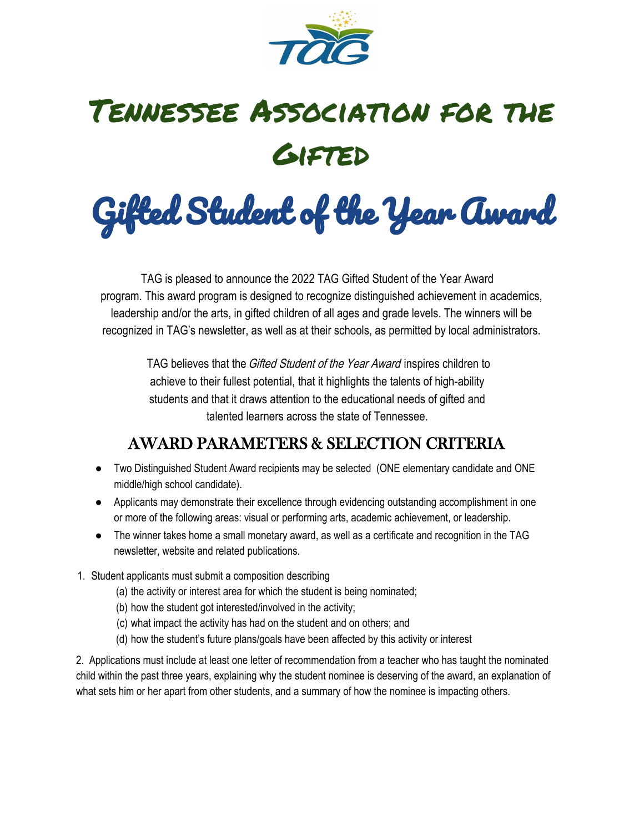

# Tennessee Association for the **GIFTED**

Gifted Student of the Year Award

TAG is pleased to announce the 2022 TAG Gifted Student of the Year Award program. This award program is designed to recognize distinguished achievement in academics, leadership and/or the arts, in gifted children of all ages and grade levels. The winners will be recognized in TAG's newsletter, as well as at their schools, as permitted by local administrators.

> TAG believes that the *Gifted Student of the Year Award* inspires children to achieve to their fullest potential, that it highlights the talents of high-ability students and that it draws attention to the educational needs of gifted and talented learners across the state of Tennessee.

#### AWARD PARAMETERS & SELECTION CRITERIA

- Two Distinguished Student Award recipients may be selected (ONE elementary candidate and ONE middle/high school candidate).
- Applicants may demonstrate their excellence through evidencing outstanding accomplishment in one or more of the following areas: visual or performing arts, academic achievement, or leadership.
- The winner takes home a small monetary award, as well as a certificate and recognition in the TAG newsletter, website and related publications.
- 1. Student applicants must submit a composition describing
	- (a) the activity or interest area for which the student is being nominated;
	- (b) how the student got interested/involved in the activity;
	- (c) what impact the activity has had on the student and on others; and
	- (d) how the student's future plans/goals have been affected by this activity or interest

2. Applications must include at least one letter of recommendation from a teacher who has taught the nominated child within the past three years, explaining why the student nominee is deserving of the award, an explanation of what sets him or her apart from other students, and a summary of how the nominee is impacting others.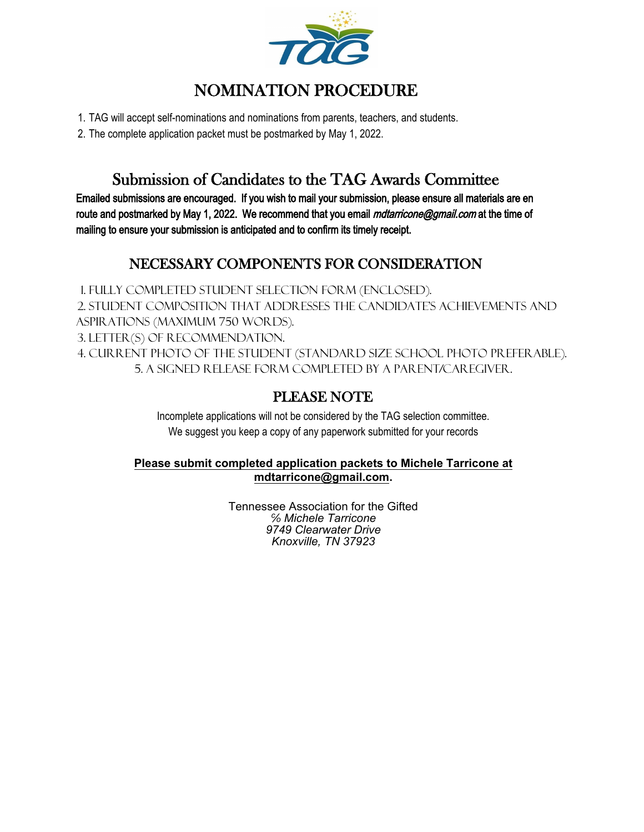

#### NOMINATION PROCEDURE

1. TAG will accept self-nominations and nominations from parents, teachers, and students.

2. The complete application packet must be postmarked by May 1, 2022.

#### Submission of Candidates to the TAG Awards Committee

Emailed submissions are encouraged. If you wish to mail your submission, please ensure all materials are en route and postmarked by May 1, 2022. We recommend that you email *mdtarricone@gmail.com* at the time of mailing to ensure your submission is anticipated and to confirm its timely receipt.

#### NECESSARY COMPONENTS FOR CONSIDERATION

1. Fully completed Student Selection Form (enclosed). 2. Student composition that addresses the candidate's achievements and aspirations (maximum 750 words). 3. Letter(s) of recommendation. 4. Current photo of the student (standard size school photo preferable). 5. A signed release form completed by a parent/caregiver.

#### PLEASE NOTE

Incomplete applications will not be considered by the TAG selection committee. We suggest you keep a copy of any paperwork submitted for your records

#### **Please submit completed application packets to Michele Tarricone at mdtarricone@gmail.com.**

Tennessee Association for the Gifted *℅ Michele Tarricone 9749 Clearwater Drive Knoxville, TN 37923*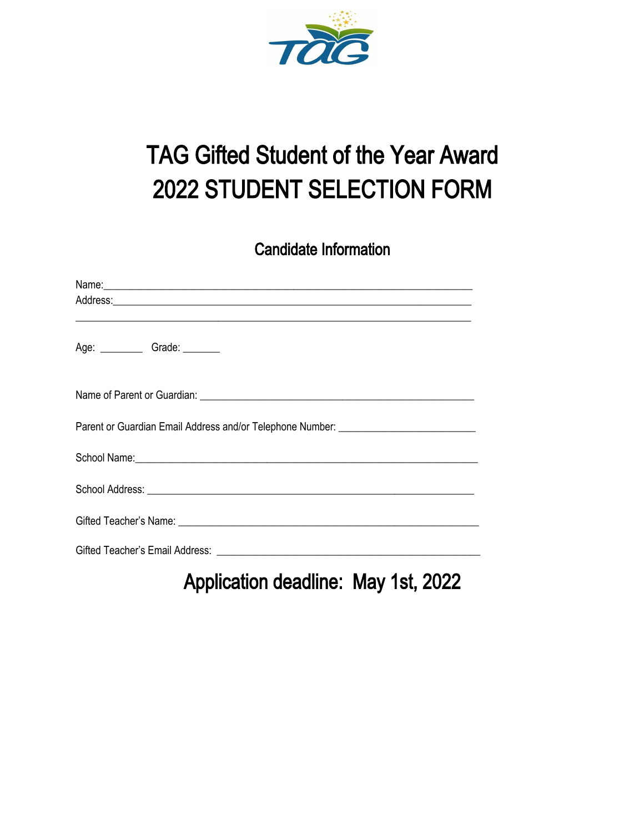

## TAG Gifted Student of the Year Award 2022 STUDENT SELECTION FORM

Candidate Information

| Age: ______________Grade: _________                                                                                      |  |  |
|--------------------------------------------------------------------------------------------------------------------------|--|--|
|                                                                                                                          |  |  |
| Parent or Guardian Email Address and/or Telephone Number: _______________________                                        |  |  |
| School Name: <u>Contract Communication</u> Contract Communication Contract Communication Communication Communication     |  |  |
| School Address: <u>Communication of the Communication</u> of the Communication of the Communication of the Communication |  |  |
|                                                                                                                          |  |  |
|                                                                                                                          |  |  |

Application deadline: May 1st, 2022